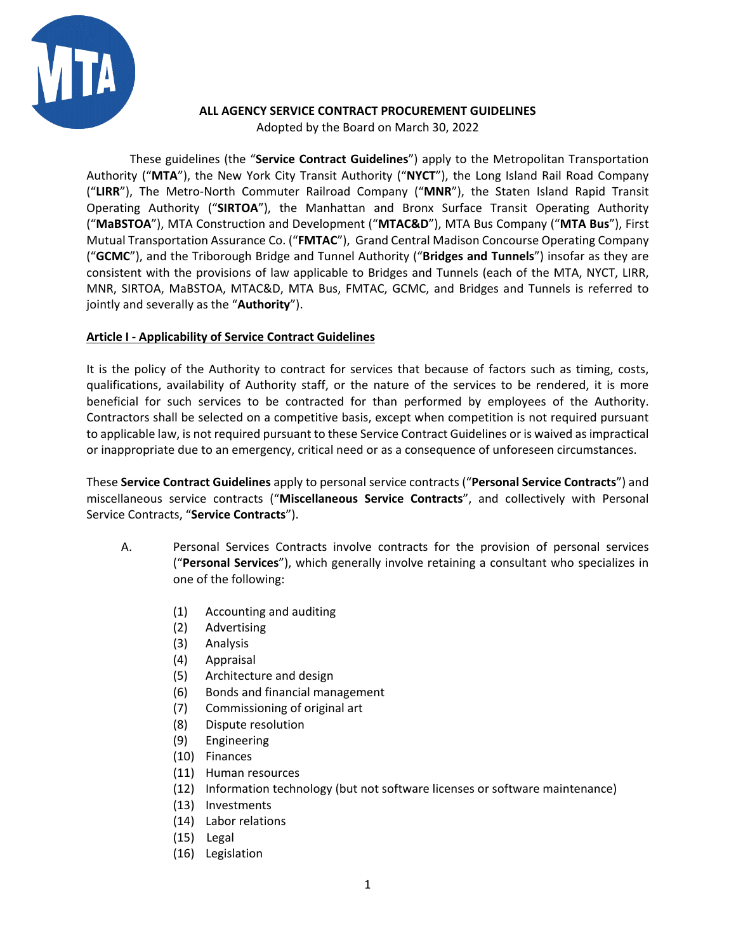

## **ALL AGENCY SERVICE CONTRACT PROCUREMENT GUIDELINES**

Adopted by the Board on March 30, 2022

These guidelines (the "**Service Contract Guidelines**") apply to the Metropolitan Transportation Authority ("**MTA**"), the New York City Transit Authority ("**NYCT**"), the Long Island Rail Road Company ("**LIRR**"), The Metro-North Commuter Railroad Company ("**MNR**"), the Staten Island Rapid Transit Operating Authority ("**SIRTOA**"), the Manhattan and Bronx Surface Transit Operating Authority ("**MaBSTOA**"), MTA Construction and Development ("**MTAC&D**"), MTA Bus Company ("**MTA Bus**"), First Mutual Transportation Assurance Co. ("**FMTAC**"), Grand Central Madison Concourse Operating Company ("**GCMC**"), and the Triborough Bridge and Tunnel Authority ("**Bridges and Tunnels**") insofar as they are consistent with the provisions of law applicable to Bridges and Tunnels (each of the MTA, NYCT, LIRR, MNR, SIRTOA, MaBSTOA, MTAC&D, MTA Bus, FMTAC, GCMC, and Bridges and Tunnels is referred to jointly and severally as the "**Authority**").

# **Article I - Applicability of Service Contract Guidelines**

It is the policy of the Authority to contract for services that because of factors such as timing, costs, qualifications, availability of Authority staff, or the nature of the services to be rendered, it is more beneficial for such services to be contracted for than performed by employees of the Authority. Contractors shall be selected on a competitive basis, except when competition is not required pursuant to applicable law, is not required pursuant to these Service Contract Guidelines or is waived as impractical or inappropriate due to an emergency, critical need or as a consequence of unforeseen circumstances.

These **Service Contract Guidelines** apply to personal service contracts ("**Personal Service Contracts**") and miscellaneous service contracts ("**Miscellaneous Service Contracts**", and collectively with Personal Service Contracts, "**Service Contracts**").

- A. Personal Services Contracts involve contracts for the provision of personal services ("**Personal Services**"), which generally involve retaining a consultant who specializes in one of the following:
	- (1) Accounting and auditing
	- (2) Advertising
	- (3) Analysis
	- (4) Appraisal
	- (5) Architecture and design
	- (6) Bonds and financial management
	- (7) Commissioning of original art
	- (8) Dispute resolution
	- (9) Engineering
	- (10) Finances
	- (11) Human resources
	- (12) Information technology (but not software licenses or software maintenance)
	- (13) Investments
	- (14) Labor relations
	- (15) Legal
	- (16) Legislation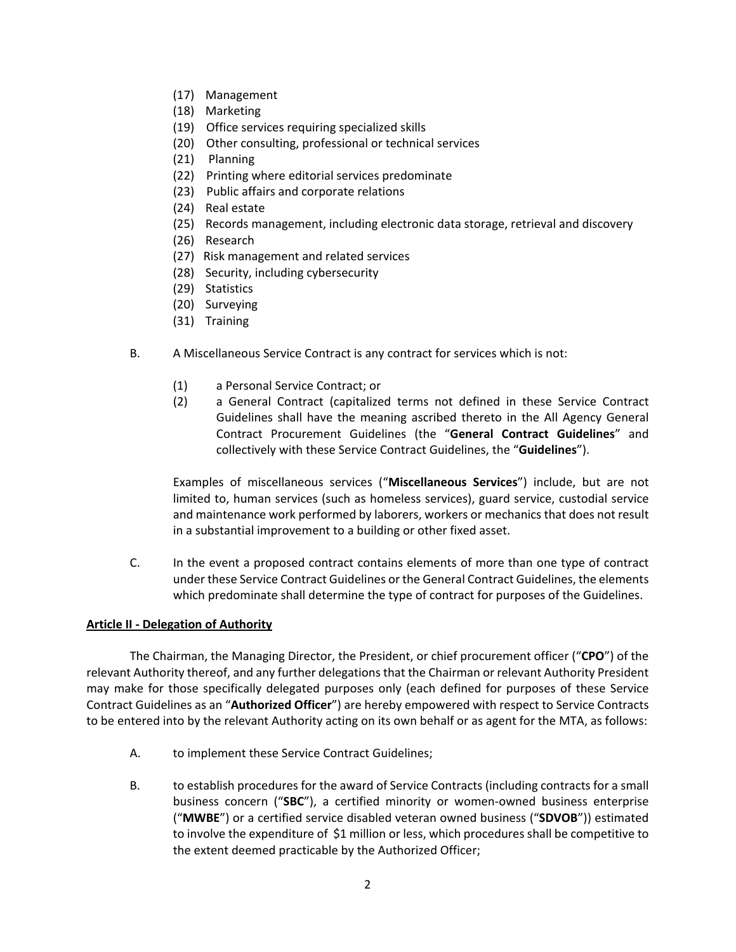- (17) Management
- (18) Marketing
- (19) Office services requiring specialized skills
- (20) Other consulting, professional or technical services
- (21) Planning
- (22) Printing where editorial services predominate
- (23) Public affairs and corporate relations
- (24) Real estate
- (25) Records management, including electronic data storage, retrieval and discovery
- (26) Research
- (27) Risk management and related services
- (28) Security, including cybersecurity
- (29) Statistics
- (20) Surveying
- (31) Training
- B. A Miscellaneous Service Contract is any contract for services which is not:
	- (1) a Personal Service Contract; or
	- (2) a General Contract (capitalized terms not defined in these Service Contract Guidelines shall have the meaning ascribed thereto in the All Agency General Contract Procurement Guidelines (the "**General Contract Guidelines**" and collectively with these Service Contract Guidelines, the "**Guidelines**").

Examples of miscellaneous services ("**Miscellaneous Services**") include, but are not limited to, human services (such as homeless services), guard service, custodial service and maintenance work performed by laborers, workers or mechanics that does not result in a substantial improvement to a building or other fixed asset.

C. In the event a proposed contract contains elements of more than one type of contract under these Service Contract Guidelines or the General Contract Guidelines, the elements which predominate shall determine the type of contract for purposes of the Guidelines.

## **Article II - Delegation of Authority**

The Chairman, the Managing Director, the President, or chief procurement officer ("**CPO**") of the relevant Authority thereof, and any further delegations that the Chairman or relevant Authority President may make for those specifically delegated purposes only (each defined for purposes of these Service Contract Guidelines as an "**Authorized Officer**") are hereby empowered with respect to Service Contracts to be entered into by the relevant Authority acting on its own behalf or as agent for the MTA, as follows:

- A. to implement these Service Contract Guidelines;
- B. to establish procedures for the award of Service Contracts (including contracts for a small business concern ("**SBC**"), a certified minority or women-owned business enterprise ("**MWBE**") or a certified service disabled veteran owned business ("**SDVOB**")) estimated to involve the expenditure of \$1 million or less, which procedures shall be competitive to the extent deemed practicable by the Authorized Officer;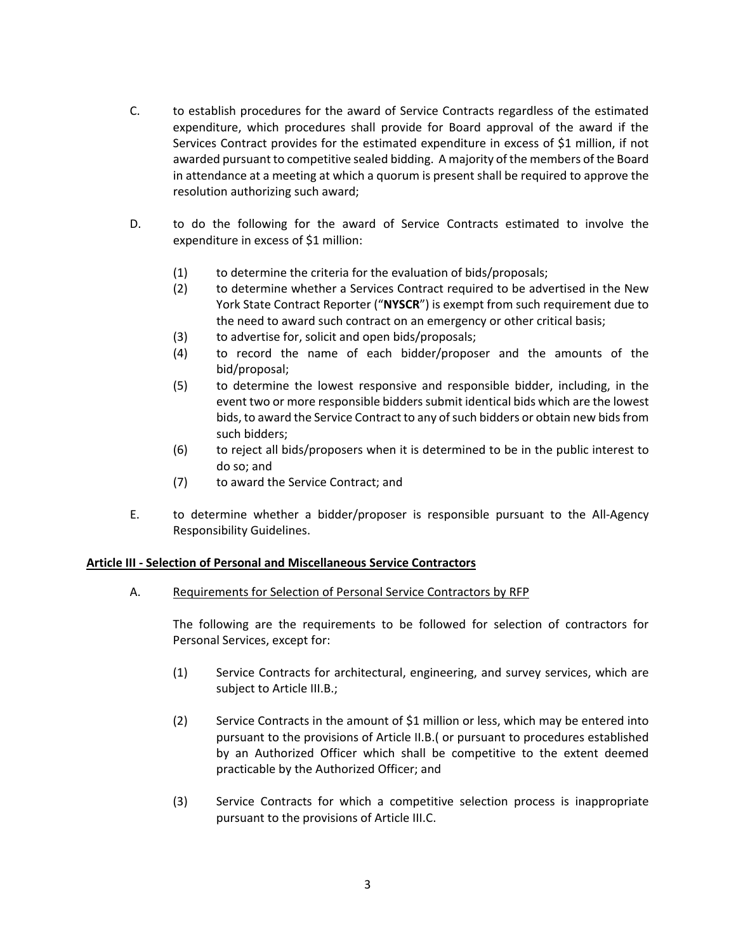- C. to establish procedures for the award of Service Contracts regardless of the estimated expenditure, which procedures shall provide for Board approval of the award if the Services Contract provides for the estimated expenditure in excess of \$1 million, if not awarded pursuant to competitive sealed bidding. A majority of the members of the Board in attendance at a meeting at which a quorum is present shall be required to approve the resolution authorizing such award;
- D. to do the following for the award of Service Contracts estimated to involve the expenditure in excess of \$1 million:
	- (1) to determine the criteria for the evaluation of bids/proposals;
	- (2) to determine whether a Services Contract required to be advertised in the New York State Contract Reporter ("**NYSCR**") is exempt from such requirement due to the need to award such contract on an emergency or other critical basis;
	- (3) to advertise for, solicit and open bids/proposals;
	- (4) to record the name of each bidder/proposer and the amounts of the bid/proposal;
	- (5) to determine the lowest responsive and responsible bidder, including, in the event two or more responsible bidders submit identical bids which are the lowest bids, to award the Service Contract to any of such bidders or obtain new bids from such bidders;
	- (6) to reject all bids/proposers when it is determined to be in the public interest to do so; and
	- (7) to award the Service Contract; and
- E. to determine whether a bidder/proposer is responsible pursuant to the All-Agency Responsibility Guidelines.

## **Article III - Selection of Personal and Miscellaneous Service Contractors**

A. Requirements for Selection of Personal Service Contractors by RFP

The following are the requirements to be followed for selection of contractors for Personal Services, except for:

- (1) Service Contracts for architectural, engineering, and survey services, which are subject to Article III.B.;
- (2) Service Contracts in the amount of \$1 million or less, which may be entered into pursuant to the provisions of Article II.B.( or pursuant to procedures established by an Authorized Officer which shall be competitive to the extent deemed practicable by the Authorized Officer; and
- (3) Service Contracts for which a competitive selection process is inappropriate pursuant to the provisions of Article III.C.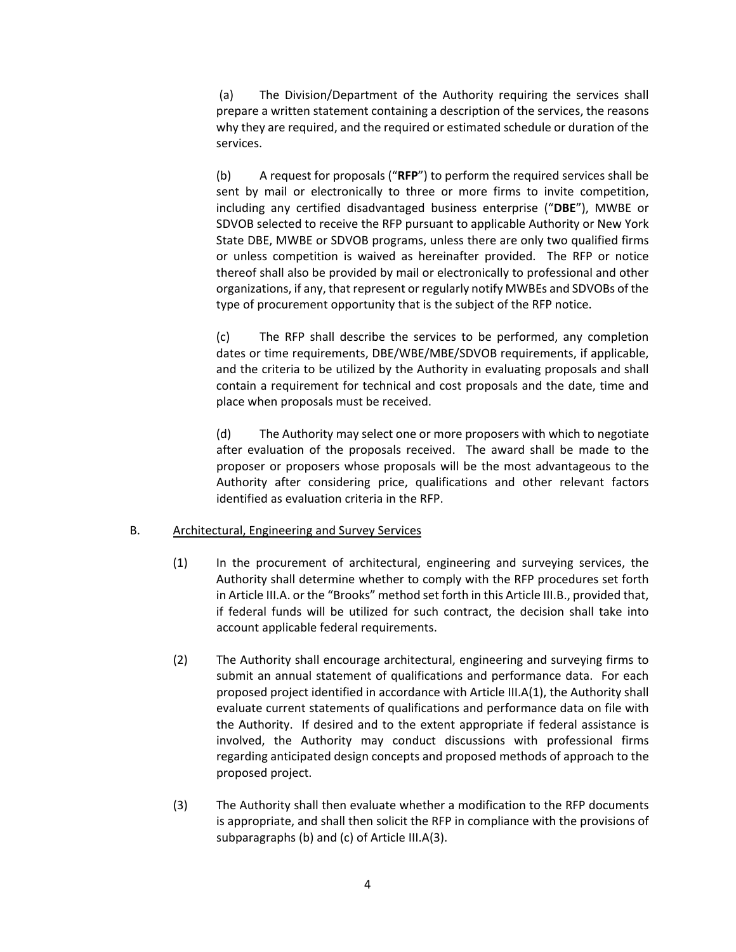(a) The Division/Department of the Authority requiring the services shall prepare a written statement containing a description of the services, the reasons why they are required, and the required or estimated schedule or duration of the services.

(b) A request for proposals ("**RFP**") to perform the required services shall be sent by mail or electronically to three or more firms to invite competition, including any certified disadvantaged business enterprise ("**DBE**"), MWBE or SDVOB selected to receive the RFP pursuant to applicable Authority or New York State DBE, MWBE or SDVOB programs, unless there are only two qualified firms or unless competition is waived as hereinafter provided. The RFP or notice thereof shall also be provided by mail or electronically to professional and other organizations, if any, that represent or regularly notify MWBEs and SDVOBs of the type of procurement opportunity that is the subject of the RFP notice.

(c) The RFP shall describe the services to be performed, any completion dates or time requirements, DBE/WBE/MBE/SDVOB requirements, if applicable, and the criteria to be utilized by the Authority in evaluating proposals and shall contain a requirement for technical and cost proposals and the date, time and place when proposals must be received.

(d) The Authority may select one or more proposers with which to negotiate after evaluation of the proposals received. The award shall be made to the proposer or proposers whose proposals will be the most advantageous to the Authority after considering price, qualifications and other relevant factors identified as evaluation criteria in the RFP.

## B. Architectural, Engineering and Survey Services

- (1) In the procurement of architectural, engineering and surveying services, the Authority shall determine whether to comply with the RFP procedures set forth in Article III.A. or the "Brooks" method set forth in this Article III.B., provided that, if federal funds will be utilized for such contract, the decision shall take into account applicable federal requirements.
- (2) The Authority shall encourage architectural, engineering and surveying firms to submit an annual statement of qualifications and performance data. For each proposed project identified in accordance with Article III.A(1), the Authority shall evaluate current statements of qualifications and performance data on file with the Authority. If desired and to the extent appropriate if federal assistance is involved, the Authority may conduct discussions with professional firms regarding anticipated design concepts and proposed methods of approach to the proposed project.
- (3) The Authority shall then evaluate whether a modification to the RFP documents is appropriate, and shall then solicit the RFP in compliance with the provisions of subparagraphs (b) and (c) of Article III.A(3).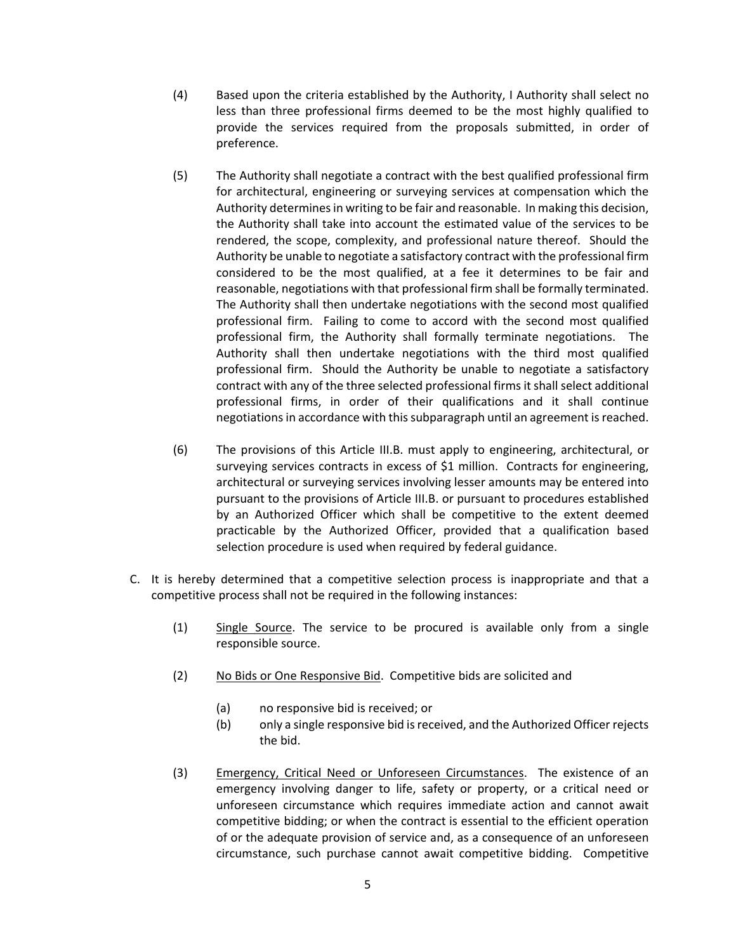- (4) Based upon the criteria established by the Authority, I Authority shall select no less than three professional firms deemed to be the most highly qualified to provide the services required from the proposals submitted, in order of preference.
- (5) The Authority shall negotiate a contract with the best qualified professional firm for architectural, engineering or surveying services at compensation which the Authority determines in writing to be fair and reasonable. In making this decision, the Authority shall take into account the estimated value of the services to be rendered, the scope, complexity, and professional nature thereof. Should the Authority be unable to negotiate a satisfactory contract with the professional firm considered to be the most qualified, at a fee it determines to be fair and reasonable, negotiations with that professional firm shall be formally terminated. The Authority shall then undertake negotiations with the second most qualified professional firm. Failing to come to accord with the second most qualified professional firm, the Authority shall formally terminate negotiations. The Authority shall then undertake negotiations with the third most qualified professional firm. Should the Authority be unable to negotiate a satisfactory contract with any of the three selected professional firms it shall select additional professional firms, in order of their qualifications and it shall continue negotiations in accordance with this subparagraph until an agreement is reached.
- (6) The provisions of this Article III.B. must apply to engineering, architectural, or surveying services contracts in excess of \$1 million. Contracts for engineering, architectural or surveying services involving lesser amounts may be entered into pursuant to the provisions of Article III.B. or pursuant to procedures established by an Authorized Officer which shall be competitive to the extent deemed practicable by the Authorized Officer, provided that a qualification based selection procedure is used when required by federal guidance.
- C. It is hereby determined that a competitive selection process is inappropriate and that a competitive process shall not be required in the following instances:
	- (1) Single Source. The service to be procured is available only from a single responsible source.
	- (2) No Bids or One Responsive Bid. Competitive bids are solicited and
		- (a) no responsive bid is received; or
		- (b) only a single responsive bid is received, and the Authorized Officer rejects the bid.
	- (3) Emergency, Critical Need or Unforeseen Circumstances. The existence of an emergency involving danger to life, safety or property, or a critical need or unforeseen circumstance which requires immediate action and cannot await competitive bidding; or when the contract is essential to the efficient operation of or the adequate provision of service and, as a consequence of an unforeseen circumstance, such purchase cannot await competitive bidding. Competitive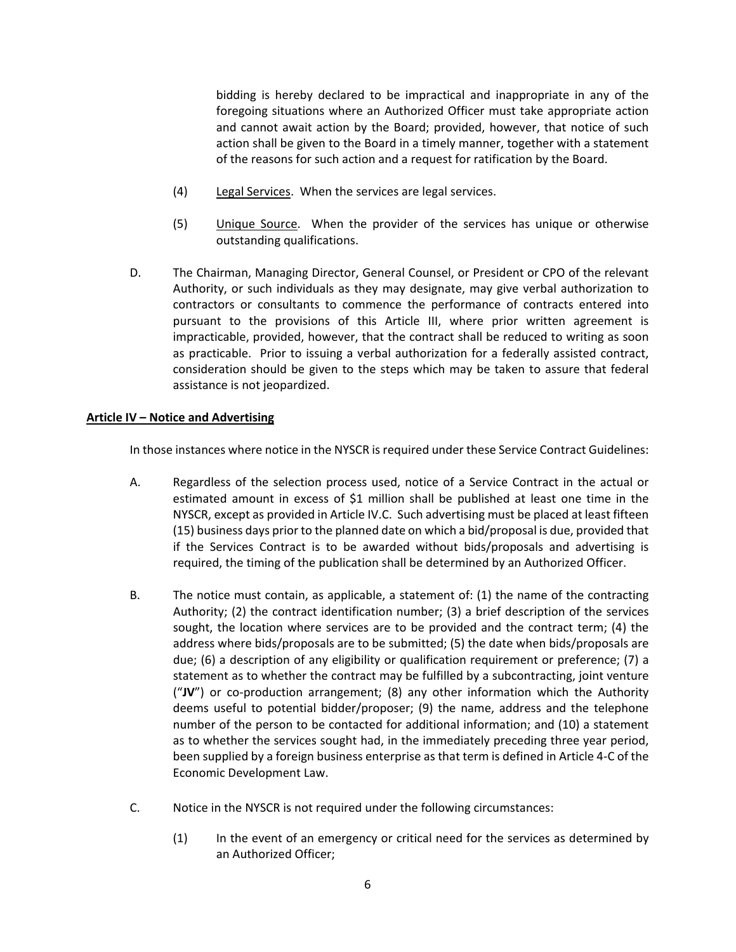bidding is hereby declared to be impractical and inappropriate in any of the foregoing situations where an Authorized Officer must take appropriate action and cannot await action by the Board; provided, however, that notice of such action shall be given to the Board in a timely manner, together with a statement of the reasons for such action and a request for ratification by the Board.

- (4) Legal Services. When the services are legal services.
- (5) Unique Source. When the provider of the services has unique or otherwise outstanding qualifications.
- D. The Chairman, Managing Director, General Counsel, or President or CPO of the relevant Authority, or such individuals as they may designate, may give verbal authorization to contractors or consultants to commence the performance of contracts entered into pursuant to the provisions of this Article III, where prior written agreement is impracticable, provided, however, that the contract shall be reduced to writing as soon as practicable. Prior to issuing a verbal authorization for a federally assisted contract, consideration should be given to the steps which may be taken to assure that federal assistance is not jeopardized.

#### **Article IV – Notice and Advertising**

In those instances where notice in the NYSCR is required under these Service Contract Guidelines:

- A. Regardless of the selection process used, notice of a Service Contract in the actual or estimated amount in excess of \$1 million shall be published at least one time in the NYSCR, except as provided in Article IV.C. Such advertising must be placed at least fifteen (15) business days prior to the planned date on which a bid/proposal is due, provided that if the Services Contract is to be awarded without bids/proposals and advertising is required, the timing of the publication shall be determined by an Authorized Officer.
- B. The notice must contain, as applicable, a statement of: (1) the name of the contracting Authority; (2) the contract identification number; (3) a brief description of the services sought, the location where services are to be provided and the contract term; (4) the address where bids/proposals are to be submitted; (5) the date when bids/proposals are due; (6) a description of any eligibility or qualification requirement or preference; (7) a statement as to whether the contract may be fulfilled by a subcontracting, joint venture ("**JV**") or co-production arrangement; (8) any other information which the Authority deems useful to potential bidder/proposer; (9) the name, address and the telephone number of the person to be contacted for additional information; and (10) a statement as to whether the services sought had, in the immediately preceding three year period, been supplied by a foreign business enterprise as that term is defined in Article 4-C of the Economic Development Law.
- C. Notice in the NYSCR is not required under the following circumstances:
	- (1) In the event of an emergency or critical need for the services as determined by an Authorized Officer;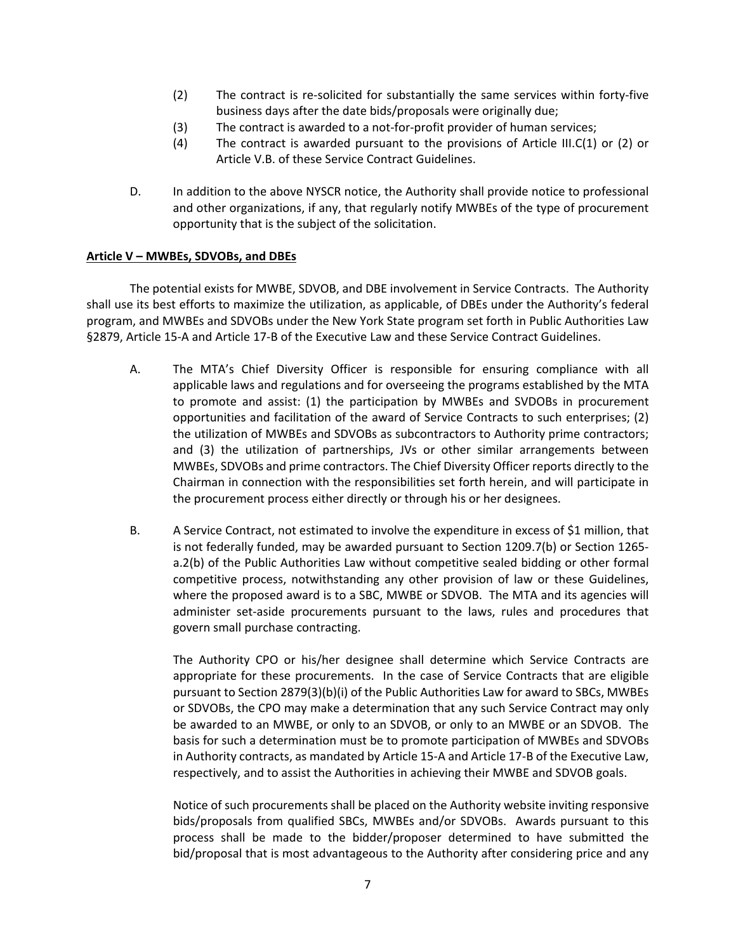- (2) The contract is re-solicited for substantially the same services within forty-five business days after the date bids/proposals were originally due;
- (3) The contract is awarded to a not-for-profit provider of human services;
- (4) The contract is awarded pursuant to the provisions of Article III.C(1) or (2) or Article V.B. of these Service Contract Guidelines.
- D. In addition to the above NYSCR notice, the Authority shall provide notice to professional and other organizations, if any, that regularly notify MWBEs of the type of procurement opportunity that is the subject of the solicitation.

#### **Article V – MWBEs, SDVOBs, and DBEs**

The potential exists for MWBE, SDVOB, and DBE involvement in Service Contracts. The Authority shall use its best efforts to maximize the utilization, as applicable, of DBEs under the Authority's federal program, and MWBEs and SDVOBs under the New York State program set forth in Public Authorities Law §2879, Article 15-A and Article 17-B of the Executive Law and these Service Contract Guidelines.

- A. The MTA's Chief Diversity Officer is responsible for ensuring compliance with all applicable laws and regulations and for overseeing the programs established by the MTA to promote and assist: (1) the participation by MWBEs and SVDOBs in procurement opportunities and facilitation of the award of Service Contracts to such enterprises; (2) the utilization of MWBEs and SDVOBs as subcontractors to Authority prime contractors; and (3) the utilization of partnerships, JVs or other similar arrangements between MWBEs, SDVOBs and prime contractors. The Chief Diversity Officer reports directly to the Chairman in connection with the responsibilities set forth herein, and will participate in the procurement process either directly or through his or her designees.
- B. A Service Contract, not estimated to involve the expenditure in excess of \$1 million, that is not federally funded, may be awarded pursuant to Section 1209.7(b) or Section 1265 a.2(b) of the Public Authorities Law without competitive sealed bidding or other formal competitive process, notwithstanding any other provision of law or these Guidelines, where the proposed award is to a SBC, MWBE or SDVOB. The MTA and its agencies will administer set-aside procurements pursuant to the laws, rules and procedures that govern small purchase contracting.

The Authority CPO or his/her designee shall determine which Service Contracts are appropriate for these procurements. In the case of Service Contracts that are eligible pursuant to Section 2879(3)(b)(i) of the Public Authorities Law for award to SBCs, MWBEs or SDVOBs, the CPO may make a determination that any such Service Contract may only be awarded to an MWBE, or only to an SDVOB, or only to an MWBE or an SDVOB. The basis for such a determination must be to promote participation of MWBEs and SDVOBs in Authority contracts, as mandated by Article 15-A and Article 17-B of the Executive Law, respectively, and to assist the Authorities in achieving their MWBE and SDVOB goals.

Notice of such procurements shall be placed on the Authority website inviting responsive bids/proposals from qualified SBCs, MWBEs and/or SDVOBs. Awards pursuant to this process shall be made to the bidder/proposer determined to have submitted the bid/proposal that is most advantageous to the Authority after considering price and any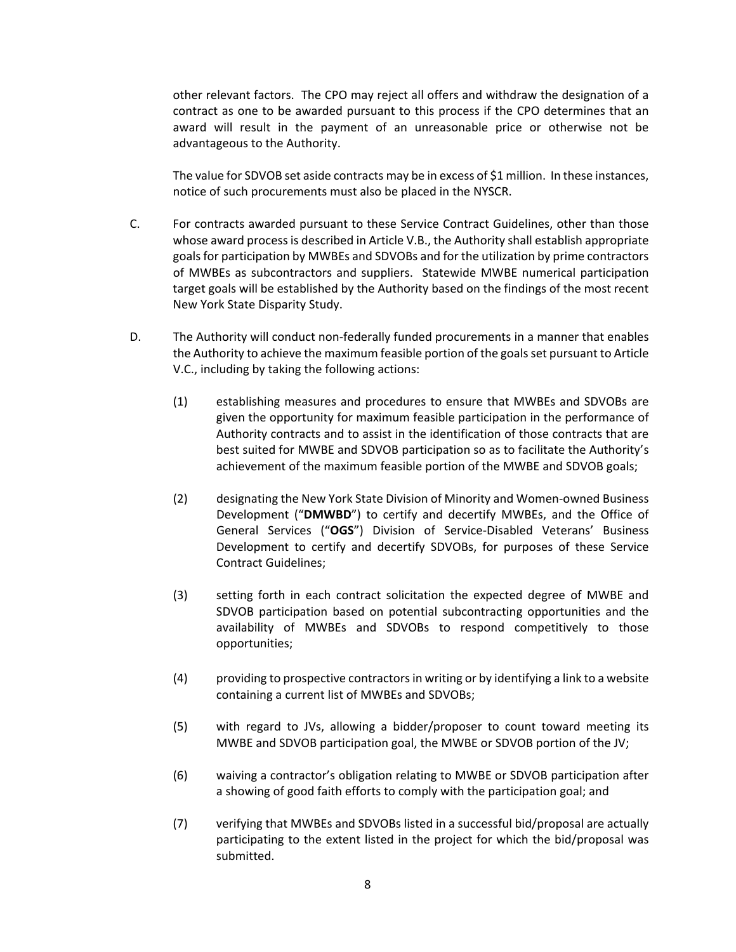other relevant factors. The CPO may reject all offers and withdraw the designation of a contract as one to be awarded pursuant to this process if the CPO determines that an award will result in the payment of an unreasonable price or otherwise not be advantageous to the Authority.

The value for SDVOB set aside contracts may be in excess of \$1 million. In these instances, notice of such procurements must also be placed in the NYSCR.

- C. For contracts awarded pursuant to these Service Contract Guidelines, other than those whose award process is described in Article V.B., the Authority shall establish appropriate goals for participation by MWBEs and SDVOBs and for the utilization by prime contractors of MWBEs as subcontractors and suppliers. Statewide MWBE numerical participation target goals will be established by the Authority based on the findings of the most recent New York State Disparity Study.
- D. The Authority will conduct non-federally funded procurements in a manner that enables the Authority to achieve the maximum feasible portion of the goals set pursuant to Article V.C., including by taking the following actions:
	- (1) establishing measures and procedures to ensure that MWBEs and SDVOBs are given the opportunity for maximum feasible participation in the performance of Authority contracts and to assist in the identification of those contracts that are best suited for MWBE and SDVOB participation so as to facilitate the Authority's achievement of the maximum feasible portion of the MWBE and SDVOB goals;
	- (2) designating the New York State Division of Minority and Women-owned Business Development ("**DMWBD**") to certify and decertify MWBEs, and the Office of General Services ("**OGS**") Division of Service-Disabled Veterans' Business Development to certify and decertify SDVOBs, for purposes of these Service Contract Guidelines;
	- (3) setting forth in each contract solicitation the expected degree of MWBE and SDVOB participation based on potential subcontracting opportunities and the availability of MWBEs and SDVOBs to respond competitively to those opportunities;
	- (4) providing to prospective contractors in writing or by identifying a link to a website containing a current list of MWBEs and SDVOBs;
	- (5) with regard to JVs, allowing a bidder/proposer to count toward meeting its MWBE and SDVOB participation goal, the MWBE or SDVOB portion of the JV;
	- (6) waiving a contractor's obligation relating to MWBE or SDVOB participation after a showing of good faith efforts to comply with the participation goal; and
	- (7) verifying that MWBEs and SDVOBs listed in a successful bid/proposal are actually participating to the extent listed in the project for which the bid/proposal was submitted.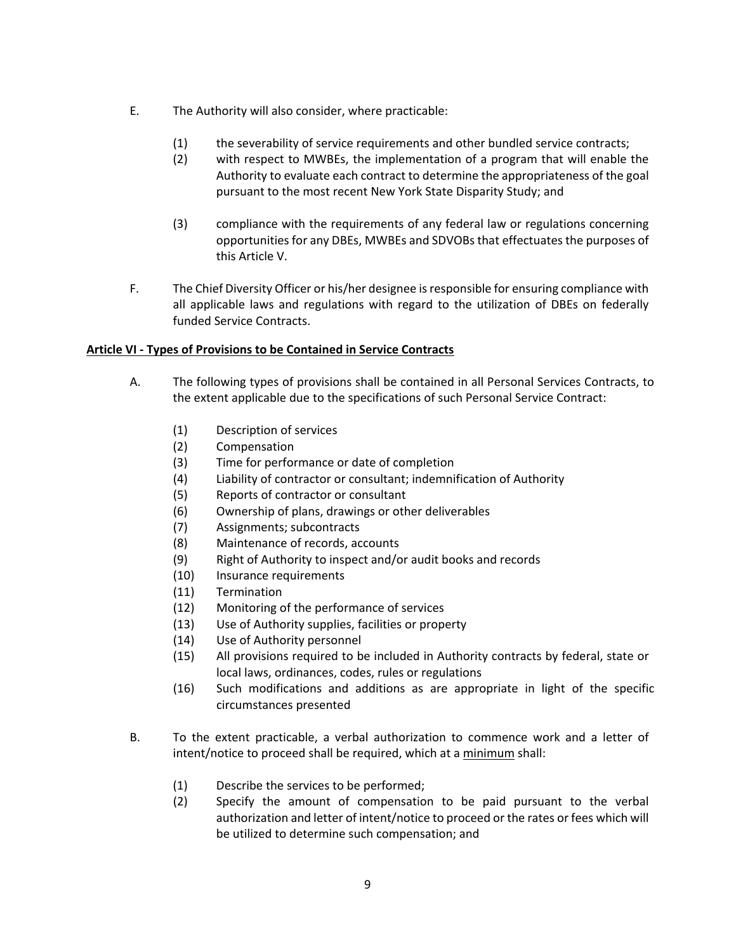- E. The Authority will also consider, where practicable:
	- (1) the severability of service requirements and other bundled service contracts;
	- (2) with respect to MWBEs, the implementation of a program that will enable the Authority to evaluate each contract to determine the appropriateness of the goal pursuant to the most recent New York State Disparity Study; and
	- (3) compliance with the requirements of any federal law or regulations concerning opportunities for any DBEs, MWBEs and SDVOBs that effectuates the purposes of this Article V.
- F. The Chief Diversity Officer or his/her designee is responsible for ensuring compliance with all applicable laws and regulations with regard to the utilization of DBEs on federally funded Service Contracts.

## **Article VI - Types of Provisions to be Contained in Service Contracts**

- A. The following types of provisions shall be contained in all Personal Services Contracts, to the extent applicable due to the specifications of such Personal Service Contract:
	- (1) Description of services
	- (2) Compensation
	- (3) Time for performance or date of completion
	- (4) Liability of contractor or consultant; indemnification of Authority
	- (5) Reports of contractor or consultant
	- (6) Ownership of plans, drawings or other deliverables
	- (7) Assignments; subcontracts
	- (8) Maintenance of records, accounts
	- (9) Right of Authority to inspect and/or audit books and records
	- (10) Insurance requirements
	- (11) Termination
	- (12) Monitoring of the performance of services
	- (13) Use of Authority supplies, facilities or property
	- (14) Use of Authority personnel
	- (15) All provisions required to be included in Authority contracts by federal, state or local laws, ordinances, codes, rules or regulations
	- (16) Such modifications and additions as are appropriate in light of the specific circumstances presented
- B. To the extent practicable, a verbal authorization to commence work and a letter of intent/notice to proceed shall be required, which at a minimum shall:
	- (1) Describe the services to be performed;
	- (2) Specify the amount of compensation to be paid pursuant to the verbal authorization and letter of intent/notice to proceed or the rates or fees which will be utilized to determine such compensation; and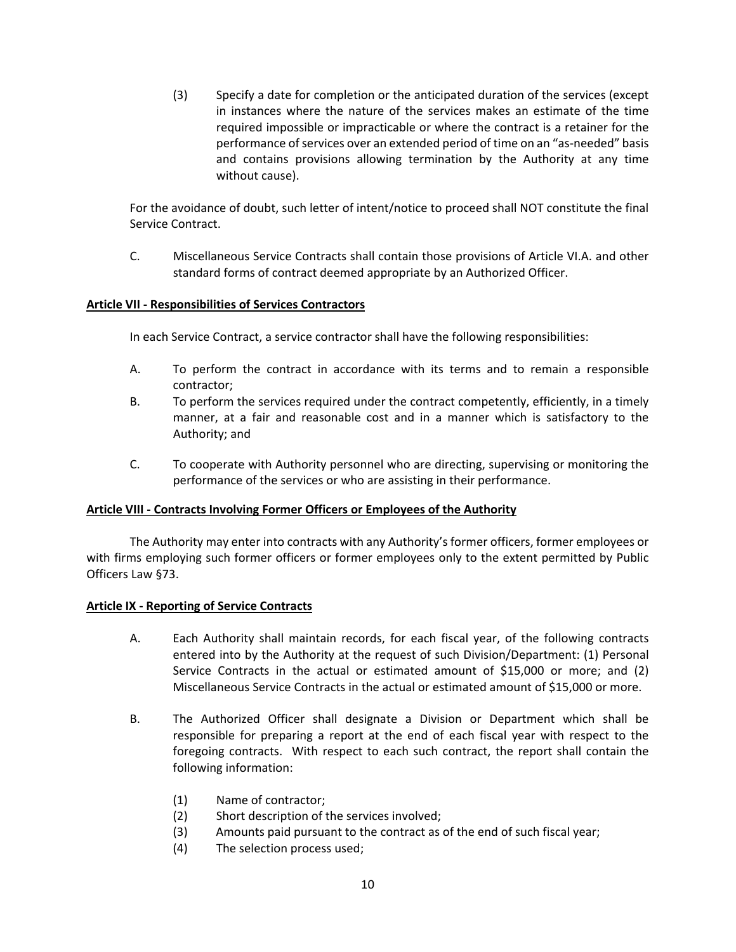(3) Specify a date for completion or the anticipated duration of the services (except in instances where the nature of the services makes an estimate of the time required impossible or impracticable or where the contract is a retainer for the performance of services over an extended period of time on an "as-needed" basis and contains provisions allowing termination by the Authority at any time without cause).

For the avoidance of doubt, such letter of intent/notice to proceed shall NOT constitute the final Service Contract.

C. Miscellaneous Service Contracts shall contain those provisions of Article VI.A. and other standard forms of contract deemed appropriate by an Authorized Officer.

## **Article VII - Responsibilities of Services Contractors**

In each Service Contract, a service contractor shall have the following responsibilities:

- A. To perform the contract in accordance with its terms and to remain a responsible contractor;
- B. To perform the services required under the contract competently, efficiently, in a timely manner, at a fair and reasonable cost and in a manner which is satisfactory to the Authority; and
- C. To cooperate with Authority personnel who are directing, supervising or monitoring the performance of the services or who are assisting in their performance.

#### **Article VIII - Contracts Involving Former Officers or Employees of the Authority**

The Authority may enter into contracts with any Authority's former officers, former employees or with firms employing such former officers or former employees only to the extent permitted by Public Officers Law §73.

#### **Article IX - Reporting of Service Contracts**

- A. Each Authority shall maintain records, for each fiscal year, of the following contracts entered into by the Authority at the request of such Division/Department: (1) Personal Service Contracts in the actual or estimated amount of \$15,000 or more; and (2) Miscellaneous Service Contracts in the actual or estimated amount of \$15,000 or more.
- B. The Authorized Officer shall designate a Division or Department which shall be responsible for preparing a report at the end of each fiscal year with respect to the foregoing contracts. With respect to each such contract, the report shall contain the following information:
	- (1) Name of contractor;
	- (2) Short description of the services involved;
	- (3) Amounts paid pursuant to the contract as of the end of such fiscal year;
	- (4) The selection process used;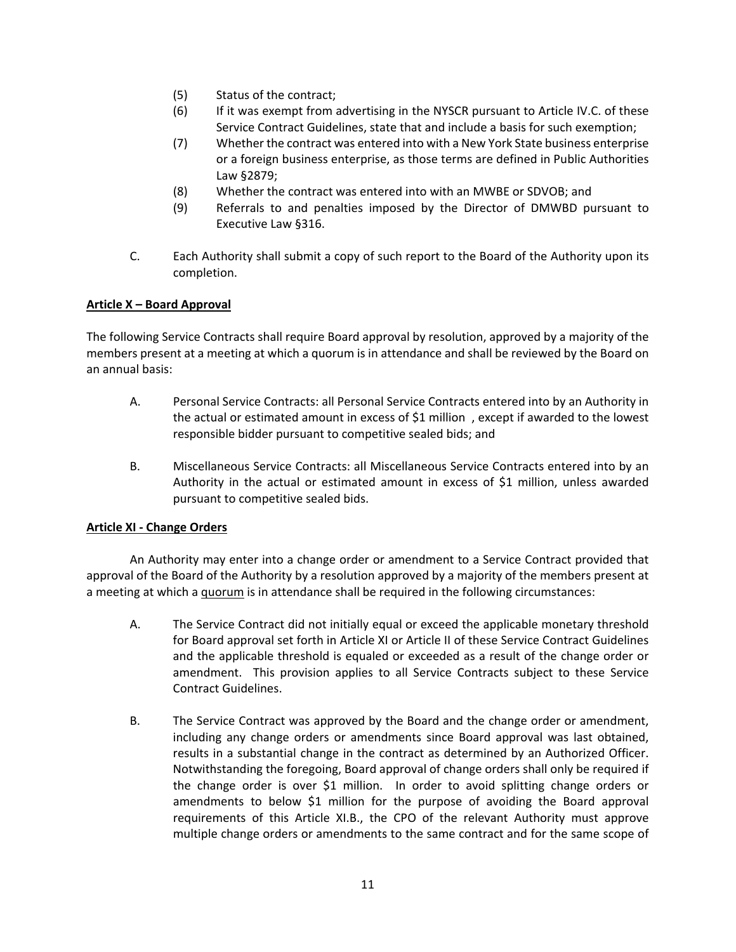- (5) Status of the contract;
- (6) If it was exempt from advertising in the NYSCR pursuant to Article IV.C. of these Service Contract Guidelines, state that and include a basis for such exemption;
- (7) Whether the contract was entered into with a New York State business enterprise or a foreign business enterprise, as those terms are defined in Public Authorities Law §2879;
- (8) Whether the contract was entered into with an MWBE or SDVOB; and
- (9) Referrals to and penalties imposed by the Director of DMWBD pursuant to Executive Law §316.
- C. Each Authority shall submit a copy of such report to the Board of the Authority upon its completion.

# **Article X – Board Approval**

The following Service Contracts shall require Board approval by resolution, approved by a majority of the members present at a meeting at which a quorum is in attendance and shall be reviewed by the Board on an annual basis:

- A. Personal Service Contracts: all Personal Service Contracts entered into by an Authority in the actual or estimated amount in excess of \$1 million , except if awarded to the lowest responsible bidder pursuant to competitive sealed bids; and
- B. Miscellaneous Service Contracts: all Miscellaneous Service Contracts entered into by an Authority in the actual or estimated amount in excess of \$1 million, unless awarded pursuant to competitive sealed bids.

## **Article XI - Change Orders**

An Authority may enter into a change order or amendment to a Service Contract provided that approval of the Board of the Authority by a resolution approved by a majority of the members present at a meeting at which a quorum is in attendance shall be required in the following circumstances:

- A. The Service Contract did not initially equal or exceed the applicable monetary threshold for Board approval set forth in Article XI or Article II of these Service Contract Guidelines and the applicable threshold is equaled or exceeded as a result of the change order or amendment. This provision applies to all Service Contracts subject to these Service Contract Guidelines.
- B. The Service Contract was approved by the Board and the change order or amendment, including any change orders or amendments since Board approval was last obtained, results in a substantial change in the contract as determined by an Authorized Officer. Notwithstanding the foregoing, Board approval of change orders shall only be required if the change order is over \$1 million. In order to avoid splitting change orders or amendments to below \$1 million for the purpose of avoiding the Board approval requirements of this Article XI.B., the CPO of the relevant Authority must approve multiple change orders or amendments to the same contract and for the same scope of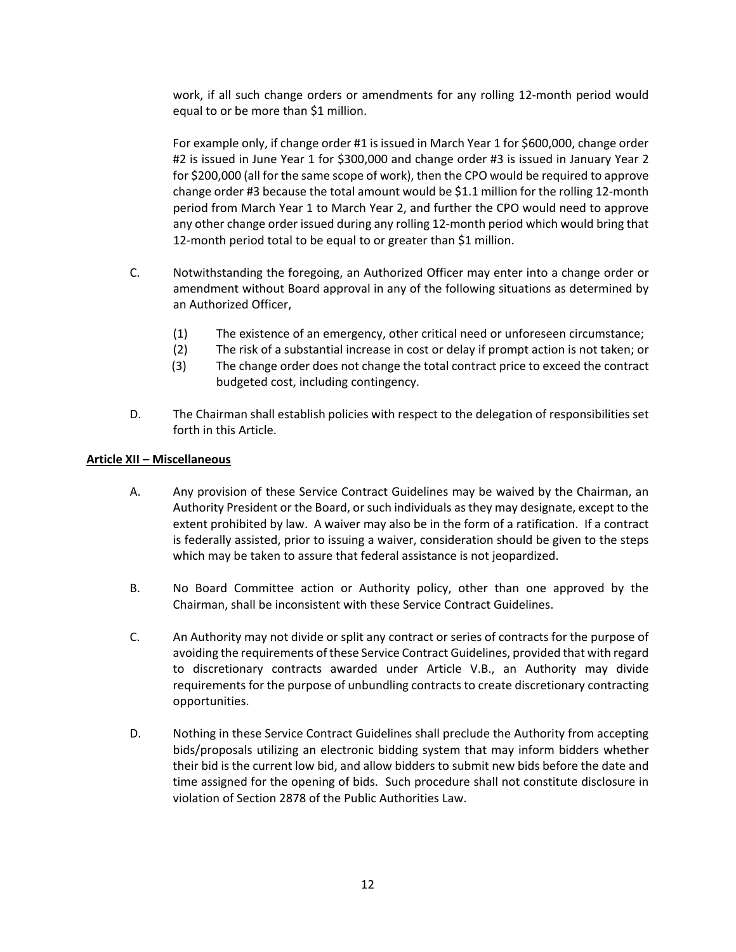work, if all such change orders or amendments for any rolling 12-month period would equal to or be more than \$1 million.

For example only, if change order #1 is issued in March Year 1 for \$600,000, change order #2 is issued in June Year 1 for \$300,000 and change order #3 is issued in January Year 2 for \$200,000 (all for the same scope of work), then the CPO would be required to approve change order #3 because the total amount would be \$1.1 million for the rolling 12-month period from March Year 1 to March Year 2, and further the CPO would need to approve any other change order issued during any rolling 12-month period which would bring that 12-month period total to be equal to or greater than \$1 million.

- C. Notwithstanding the foregoing, an Authorized Officer may enter into a change order or amendment without Board approval in any of the following situations as determined by an Authorized Officer,
	- (1) The existence of an emergency, other critical need or unforeseen circumstance;
	- (2) The risk of a substantial increase in cost or delay if prompt action is not taken; or
	- (3) The change order does not change the total contract price to exceed the contract budgeted cost, including contingency.
- D. The Chairman shall establish policies with respect to the delegation of responsibilities set forth in this Article.

#### **Article XII – Miscellaneous**

- A. Any provision of these Service Contract Guidelines may be waived by the Chairman, an Authority President or the Board, or such individuals as they may designate, except to the extent prohibited by law. A waiver may also be in the form of a ratification. If a contract is federally assisted, prior to issuing a waiver, consideration should be given to the steps which may be taken to assure that federal assistance is not jeopardized.
- B. No Board Committee action or Authority policy, other than one approved by the Chairman, shall be inconsistent with these Service Contract Guidelines.
- C. An Authority may not divide or split any contract or series of contracts for the purpose of avoiding the requirements of these Service Contract Guidelines, provided that with regard to discretionary contracts awarded under Article V.B., an Authority may divide requirements for the purpose of unbundling contracts to create discretionary contracting opportunities.
- D. Nothing in these Service Contract Guidelines shall preclude the Authority from accepting bids/proposals utilizing an electronic bidding system that may inform bidders whether their bid is the current low bid, and allow bidders to submit new bids before the date and time assigned for the opening of bids. Such procedure shall not constitute disclosure in violation of Section 2878 of the Public Authorities Law.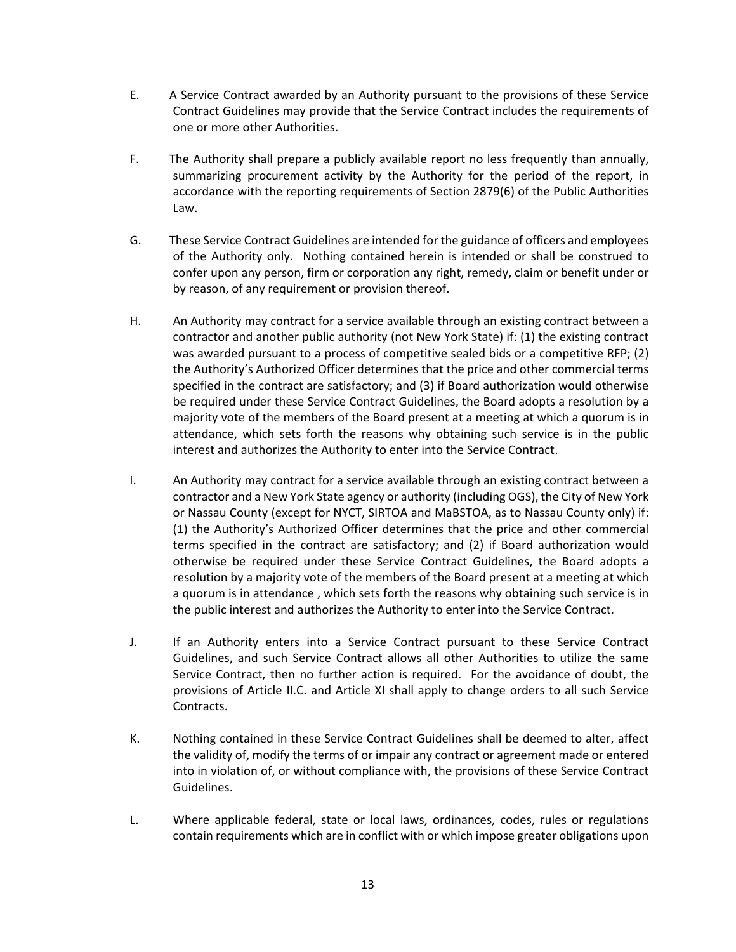- E. A Service Contract awarded by an Authority pursuant to the provisions of these Service Contract Guidelines may provide that the Service Contract includes the requirements of one or more other Authorities.
- F. The Authority shall prepare a publicly available report no less frequently than annually, summarizing procurement activity by the Authority for the period of the report, in accordance with the reporting requirements of Section 2879(6) of the Public Authorities Law.
- G. These Service Contract Guidelines are intended for the guidance of officers and employees of the Authority only. Nothing contained herein is intended or shall be construed to confer upon any person, firm or corporation any right, remedy, claim or benefit under or by reason, of any requirement or provision thereof.
- H. An Authority may contract for a service available through an existing contract between a contractor and another public authority (not New York State) if: (1) the existing contract was awarded pursuant to a process of competitive sealed bids or a competitive RFP; (2) the Authority's Authorized Officer determines that the price and other commercial terms specified in the contract are satisfactory; and (3) if Board authorization would otherwise be required under these Service Contract Guidelines, the Board adopts a resolution by a majority vote of the members of the Board present at a meeting at which a quorum is in attendance, which sets forth the reasons why obtaining such service is in the public interest and authorizes the Authority to enter into the Service Contract.
- I. An Authority may contract for a service available through an existing contract between a contractor and a New York State agency or authority (including OGS), the City of New York or Nassau County (except for NYCT, SIRTOA and MaBSTOA, as to Nassau County only) if: (1) the Authority's Authorized Officer determines that the price and other commercial terms specified in the contract are satisfactory; and (2) if Board authorization would otherwise be required under these Service Contract Guidelines, the Board adopts a resolution by a majority vote of the members of the Board present at a meeting at which a quorum is in attendance , which sets forth the reasons why obtaining such service is in the public interest and authorizes the Authority to enter into the Service Contract.
- J. If an Authority enters into a Service Contract pursuant to these Service Contract Guidelines, and such Service Contract allows all other Authorities to utilize the same Service Contract, then no further action is required. For the avoidance of doubt, the provisions of Article II.C. and Article XI shall apply to change orders to all such Service Contracts.
- K. Nothing contained in these Service Contract Guidelines shall be deemed to alter, affect the validity of, modify the terms of or impair any contract or agreement made or entered into in violation of, or without compliance with, the provisions of these Service Contract Guidelines.
- L. Where applicable federal, state or local laws, ordinances, codes, rules or regulations contain requirements which are in conflict with or which impose greater obligations upon